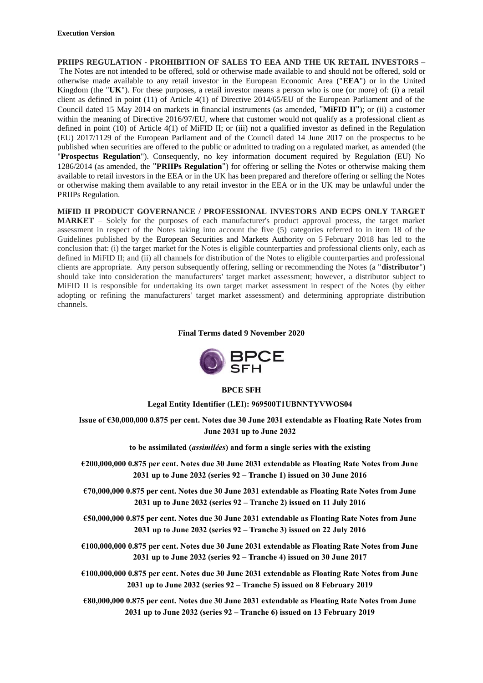**PRIIPS REGULATION - PROHIBITION OF SALES TO EEA AND THE UK RETAIL INVESTORS –** The Notes are not intended to be offered, sold or otherwise made available to and should not be offered, sold or otherwise made available to any retail investor in the European Economic Area ("**EEA**") or in the United Kingdom (the "**UK**"). For these purposes, a retail investor means a person who is one (or more) of: (i) a retail client as defined in point (11) of Article 4(1) of Directive 2014/65/EU of the European Parliament and of the Council dated 15 May 2014 on markets in financial instruments (as amended, "**MiFID II**"); or (ii) a customer within the meaning of Directive 2016/97/EU, where that customer would not qualify as a professional client as defined in point (10) of Article 4(1) of MiFID II; or (iii) not a qualified investor as defined in the Regulation (EU) 2017/1129 of the European Parliament and of the Council dated 14 June 2017 on the prospectus to be published when securities are offered to the public or admitted to trading on a regulated market, as amended (the "**Prospectus Regulation**"). Consequently, no key information document required by Regulation (EU) No 1286/2014 (as amended, the "**PRIIPs Regulation**") for offering or selling the Notes or otherwise making them available to retail investors in the EEA or in the UK has been prepared and therefore offering or selling the Notes or otherwise making them available to any retail investor in the EEA or in the UK may be unlawful under the PRIIPs Regulation.

**MiFID II PRODUCT GOVERNANCE / PROFESSIONAL INVESTORS AND ECPS ONLY TARGET MARKET** – Solely for the purposes of each manufacturer's product approval process, the target market assessment in respect of the Notes taking into account the five (5) categories referred to in item 18 of the Guidelines published by the European Securities and Markets Authority on 5 February 2018 has led to the conclusion that: (i) the target market for the Notes is eligible counterparties and professional clients only, each as defined in MiFID II; and (ii) all channels for distribution of the Notes to eligible counterparties and professional clients are appropriate. Any person subsequently offering, selling or recommending the Notes (a "**distributor**") should take into consideration the manufacturers' target market assessment; however, a distributor subject to MiFID II is responsible for undertaking its own target market assessment in respect of the Notes (by either adopting or refining the manufacturers' target market assessment) and determining appropriate distribution channels.

**Final Terms dated 9 November 2020**



#### **BPCE SFH**

**Legal Entity Identifier (LEI): 969500T1UBNNTYVWOS04**

**Issue of €30,000,000 0.875 per cent. Notes due 30 June 2031 extendable as Floating Rate Notes from June 2031 up to June 2032**

**to be assimilated (***assimilées***) and form a single series with the existing** 

**€200,000,000 0.875 per cent. Notes due 30 June 2031 extendable as Floating Rate Notes from June 2031 up to June 2032 (series 92 – Tranche 1) issued on 30 June 2016** 

**€70,000,000 0.875 per cent. Notes due 30 June 2031 extendable as Floating Rate Notes from June 2031 up to June 2032 (series 92 – Tranche 2) issued on 11 July 2016** 

**€50,000,000 0.875 per cent. Notes due 30 June 2031 extendable as Floating Rate Notes from June 2031 up to June 2032 (series 92 – Tranche 3) issued on 22 July 2016** 

**€100,000,000 0.875 per cent. Notes due 30 June 2031 extendable as Floating Rate Notes from June 2031 up to June 2032 (series 92 – Tranche 4) issued on 30 June 2017** 

**€100,000,000 0.875 per cent. Notes due 30 June 2031 extendable as Floating Rate Notes from June 2031 up to June 2032 (series 92 – Tranche 5) issued on 8 February 2019** 

**€80,000,000 0.875 per cent. Notes due 30 June 2031 extendable as Floating Rate Notes from June 2031 up to June 2032 (series 92 – Tranche 6) issued on 13 February 2019**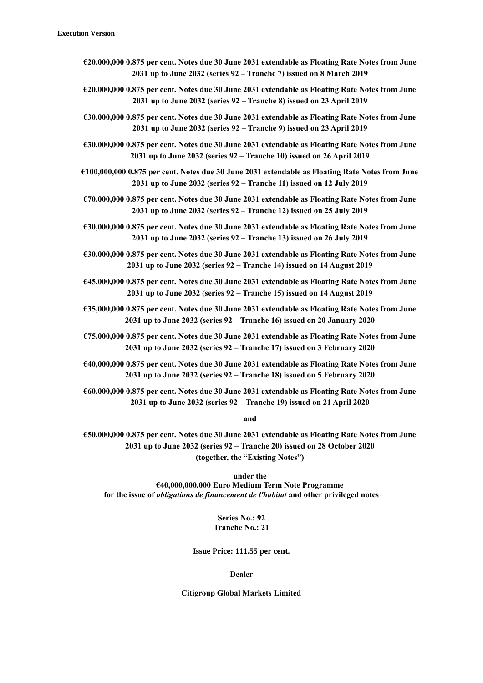- **€20,000,000 0.875 per cent. Notes due 30 June 2031 extendable as Floating Rate Notes from June 2031 up to June 2032 (series 92 – Tranche 7) issued on 8 March 2019**
- **€20,000,000 0.875 per cent. Notes due 30 June 2031 extendable as Floating Rate Notes from June 2031 up to June 2032 (series 92 – Tranche 8) issued on 23 April 2019**
- **€30,000,000 0.875 per cent. Notes due 30 June 2031 extendable as Floating Rate Notes from June 2031 up to June 2032 (series 92 – Tranche 9) issued on 23 April 2019**
- **€30,000,000 0.875 per cent. Notes due 30 June 2031 extendable as Floating Rate Notes from June 2031 up to June 2032 (series 92 – Tranche 10) issued on 26 April 2019**
- **€100,000,000 0.875 per cent. Notes due 30 June 2031 extendable as Floating Rate Notes from June 2031 up to June 2032 (series 92 – Tranche 11) issued on 12 July 2019**
- **€70,000,000 0.875 per cent. Notes due 30 June 2031 extendable as Floating Rate Notes from June 2031 up to June 2032 (series 92 – Tranche 12) issued on 25 July 2019**
- **€30,000,000 0.875 per cent. Notes due 30 June 2031 extendable as Floating Rate Notes from June 2031 up to June 2032 (series 92 – Tranche 13) issued on 26 July 2019**
- **€30,000,000 0.875 per cent. Notes due 30 June 2031 extendable as Floating Rate Notes from June 2031 up to June 2032 (series 92 – Tranche 14) issued on 14 August 2019**
- **€45,000,000 0.875 per cent. Notes due 30 June 2031 extendable as Floating Rate Notes from June 2031 up to June 2032 (series 92 – Tranche 15) issued on 14 August 2019**
- **€35,000,000 0.875 per cent. Notes due 30 June 2031 extendable as Floating Rate Notes from June 2031 up to June 2032 (series 92 – Tranche 16) issued on 20 January 2020**
- **€75,000,000 0.875 per cent. Notes due 30 June 2031 extendable as Floating Rate Notes from June 2031 up to June 2032 (series 92 – Tranche 17) issued on 3 February 2020**
- **€40,000,000 0.875 per cent. Notes due 30 June 2031 extendable as Floating Rate Notes from June 2031 up to June 2032 (series 92 – Tranche 18) issued on 5 February 2020**
- **€60,000,000 0.875 per cent. Notes due 30 June 2031 extendable as Floating Rate Notes from June 2031 up to June 2032 (series 92 – Tranche 19) issued on 21 April 2020**

**and** 

**€50,000,000 0.875 per cent. Notes due 30 June 2031 extendable as Floating Rate Notes from June 2031 up to June 2032 (series 92 – Tranche 20) issued on 28 October 2020 (together, the "Existing Notes")** 

**under the**

**€40,000,000,000 Euro Medium Term Note Programme for the issue of** *obligations de financement de l'habitat* **and other privileged notes**

> **Series No.: 92 Tranche No.: 21**

**Issue Price: 111.55 per cent.**

**Dealer**

**Citigroup Global Markets Limited**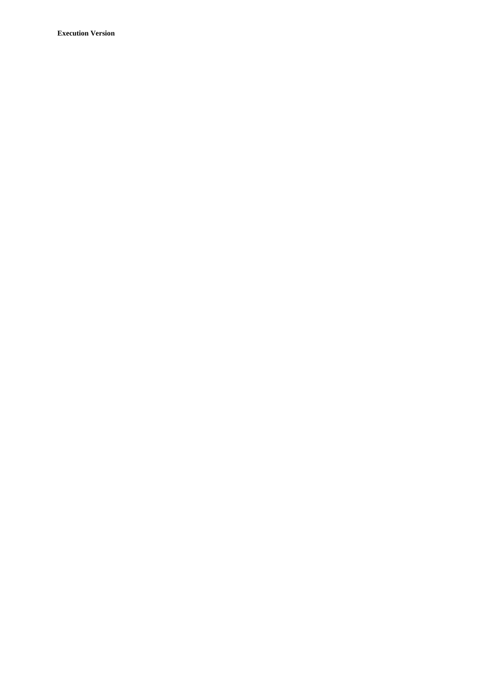**Execution Version**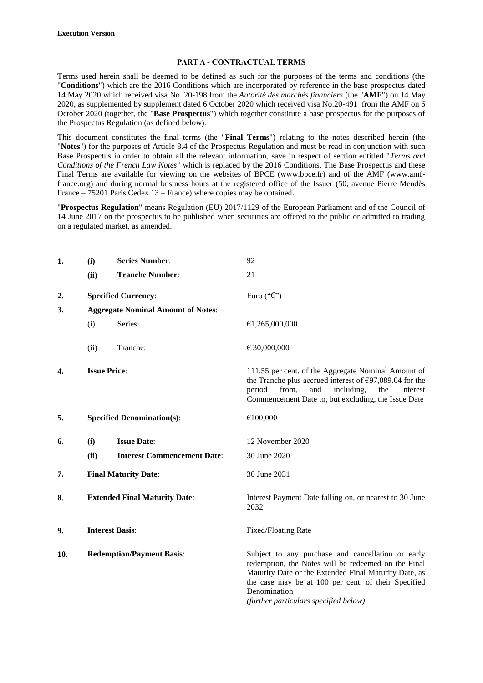#### **PART A - CONTRACTUAL TERMS**

Terms used herein shall be deemed to be defined as such for the purposes of the terms and conditions (the "**Conditions**") which are the 2016 Conditions which are incorporated by reference in the base prospectus dated 14 May 2020 which received visa No. 20-198 from the *Autorité des marchés financiers* (the "**AMF**") on 14 May 2020, as supplemented by supplement dated 6 October 2020 which received visa No.20-491 from the AMF on 6 October 2020 (together, the "**Base Prospectus**") which together constitute a base prospectus for the purposes of the Prospectus Regulation (as defined below).

This document constitutes the final terms (the "**Final Terms**") relating to the notes described herein (the "**Notes**") for the purposes of Article 8.4 of the Prospectus Regulation and must be read in conjunction with such Base Prospectus in order to obtain all the relevant information, save in respect of section entitled "*Terms and Conditions of the French Law Notes*" which is replaced by the 2016 Conditions. The Base Prospectus and these Final Terms are available for viewing on the websites of BPCE (www.bpce.fr) and of the AMF (www.amffrance.org) and during normal business hours at the registered office of the Issuer (50, avenue Pierre Mendès France – 75201 Paris Cedex 13 – France) where copies may be obtained.

"**Prospectus Regulation**" means Regulation (EU) 2017/1129 of the European Parliament and of the Council of 14 June 2017 on the prospectus to be published when securities are offered to the public or admitted to trading on a regulated market, as amended.

| 1.               | (i)                                  | <b>Series Number:</b>                     | 92                                                                                                                                                                                                                                                                                |
|------------------|--------------------------------------|-------------------------------------------|-----------------------------------------------------------------------------------------------------------------------------------------------------------------------------------------------------------------------------------------------------------------------------------|
|                  | (ii)                                 | <b>Tranche Number:</b>                    | 21                                                                                                                                                                                                                                                                                |
| $\overline{2}$ . |                                      | <b>Specified Currency:</b>                | Euro (" $\epsilon$ ")                                                                                                                                                                                                                                                             |
| 3.               |                                      | <b>Aggregate Nominal Amount of Notes:</b> |                                                                                                                                                                                                                                                                                   |
|                  | (i)                                  | Series:                                   | €1,265,000,000                                                                                                                                                                                                                                                                    |
|                  | (ii)                                 | Tranche:                                  | € 30,000,000                                                                                                                                                                                                                                                                      |
| 4.               | <b>Issue Price:</b>                  |                                           | 111.55 per cent. of the Aggregate Nominal Amount of<br>the Tranche plus accrued interest of €97,089.04 for the<br>period<br>from,<br>and<br>including,<br>the<br>Interest<br>Commencement Date to, but excluding, the Issue Date                                                  |
| 5.               |                                      | <b>Specified Denomination(s):</b>         | €100,000                                                                                                                                                                                                                                                                          |
| 6.               | (i)                                  | <b>Issue Date:</b>                        | 12 November 2020                                                                                                                                                                                                                                                                  |
|                  | (ii)                                 | <b>Interest Commencement Date:</b>        | 30 June 2020                                                                                                                                                                                                                                                                      |
| 7.               | <b>Final Maturity Date:</b>          |                                           | 30 June 2031                                                                                                                                                                                                                                                                      |
| 8.               | <b>Extended Final Maturity Date:</b> |                                           | Interest Payment Date falling on, or nearest to 30 June<br>2032                                                                                                                                                                                                                   |
| 9.               | <b>Interest Basis:</b>               |                                           | Fixed/Floating Rate                                                                                                                                                                                                                                                               |
| 10.              |                                      | <b>Redemption/Payment Basis:</b>          | Subject to any purchase and cancellation or early<br>redemption, the Notes will be redeemed on the Final<br>Maturity Date or the Extended Final Maturity Date, as<br>the case may be at 100 per cent. of their Specified<br>Denomination<br>(further particulars specified below) |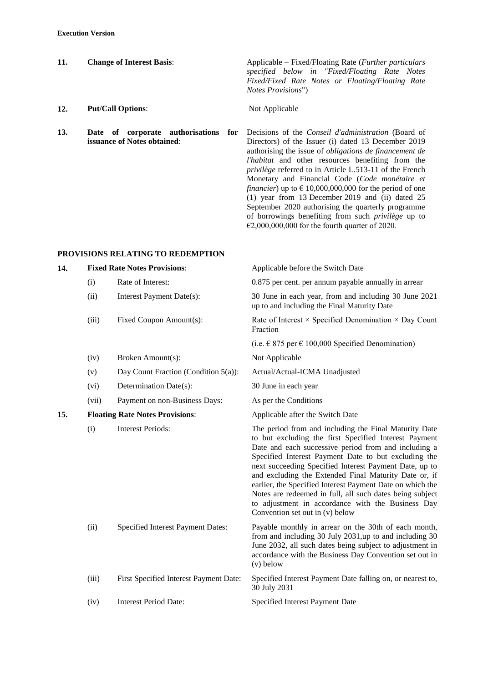| 11. | <b>Change of Interest Basis:</b>                                       | Applicable – Fixed/Floating Rate ( <i>Further particulars</i><br>specified below in "Fixed/Floating Rate Notes<br>Fixed/Fixed Rate Notes or Floating/Floating Rate<br><i>Notes Provisions"</i> ) |
|-----|------------------------------------------------------------------------|--------------------------------------------------------------------------------------------------------------------------------------------------------------------------------------------------|
| 12. | <b>Put/Call Options:</b>                                               | Not Applicable                                                                                                                                                                                   |
| 13. | Date of corporate authorisations<br>for<br>issuance of Notes obtained: | Decisions of the <i>Conseil d'administration</i> (Board of<br>Directors) of the Issuer (i) dated 13 December 2019                                                                                |

Directors) of the Issuer (i) dated 13 December 2019 authorising the issue of *obligations de financement de l'habitat* and other resources benefiting from the *privilège* referred to in Article L.513-11 of the French Monetary and Financial Code (*Code monétaire et financier*) up to  $\epsilon$  10,000,000,000 for the period of one  $(1)$  year from 13 December 2019 and (ii) dated 25 September 2020 authorising the quarterly programme of borrowings benefiting from such *privilège* up to €2,000,000,000 for the fourth quarter of 2020.

### **PROVISIONS RELATING TO REDEMPTION**

| 14. |       | <b>Fixed Rate Notes Provisions:</b>    | Applicable before the Switch Date                                                                                                                                                                                                                                                                                                                                                                                                                                                                                                                                  |
|-----|-------|----------------------------------------|--------------------------------------------------------------------------------------------------------------------------------------------------------------------------------------------------------------------------------------------------------------------------------------------------------------------------------------------------------------------------------------------------------------------------------------------------------------------------------------------------------------------------------------------------------------------|
|     | (i)   | Rate of Interest:                      | 0.875 per cent. per annum payable annually in arrear                                                                                                                                                                                                                                                                                                                                                                                                                                                                                                               |
|     | (ii)  | Interest Payment Date(s):              | 30 June in each year, from and including 30 June 2021<br>up to and including the Final Maturity Date                                                                                                                                                                                                                                                                                                                                                                                                                                                               |
|     | (iii) | Fixed Coupon Amount(s):                | Rate of Interest $\times$ Specified Denomination $\times$ Day Count<br>Fraction                                                                                                                                                                                                                                                                                                                                                                                                                                                                                    |
|     |       |                                        | (i.e. € 875 per € 100,000 Specified Denomination)                                                                                                                                                                                                                                                                                                                                                                                                                                                                                                                  |
|     | (iv)  | Broken Amount(s):                      | Not Applicable                                                                                                                                                                                                                                                                                                                                                                                                                                                                                                                                                     |
|     | (v)   | Day Count Fraction (Condition 5(a)):   | Actual/Actual-ICMA Unadjusted                                                                                                                                                                                                                                                                                                                                                                                                                                                                                                                                      |
|     | (vi)  | Determination Date(s):                 | 30 June in each year                                                                                                                                                                                                                                                                                                                                                                                                                                                                                                                                               |
|     | (vii) | Payment on non-Business Days:          | As per the Conditions                                                                                                                                                                                                                                                                                                                                                                                                                                                                                                                                              |
| 15. |       | <b>Floating Rate Notes Provisions:</b> | Applicable after the Switch Date                                                                                                                                                                                                                                                                                                                                                                                                                                                                                                                                   |
|     | (i)   | <b>Interest Periods:</b>               | The period from and including the Final Maturity Date<br>to but excluding the first Specified Interest Payment<br>Date and each successive period from and including a<br>Specified Interest Payment Date to but excluding the<br>next succeeding Specified Interest Payment Date, up to<br>and excluding the Extended Final Maturity Date or, if<br>earlier, the Specified Interest Payment Date on which the<br>Notes are redeemed in full, all such dates being subject<br>to adjustment in accordance with the Business Day<br>Convention set out in (v) below |
|     | (ii)  | Specified Interest Payment Dates:      | Payable monthly in arrear on the 30th of each month,<br>from and including 30 July 2031,up to and including 30<br>June 2032, all such dates being subject to adjustment in<br>accordance with the Business Day Convention set out in<br>$(v)$ below                                                                                                                                                                                                                                                                                                                |
|     | (iii) | First Specified Interest Payment Date: | Specified Interest Payment Date falling on, or nearest to,<br>30 July 2031                                                                                                                                                                                                                                                                                                                                                                                                                                                                                         |
|     | (iv)  | <b>Interest Period Date:</b>           | Specified Interest Payment Date                                                                                                                                                                                                                                                                                                                                                                                                                                                                                                                                    |
|     |       |                                        |                                                                                                                                                                                                                                                                                                                                                                                                                                                                                                                                                                    |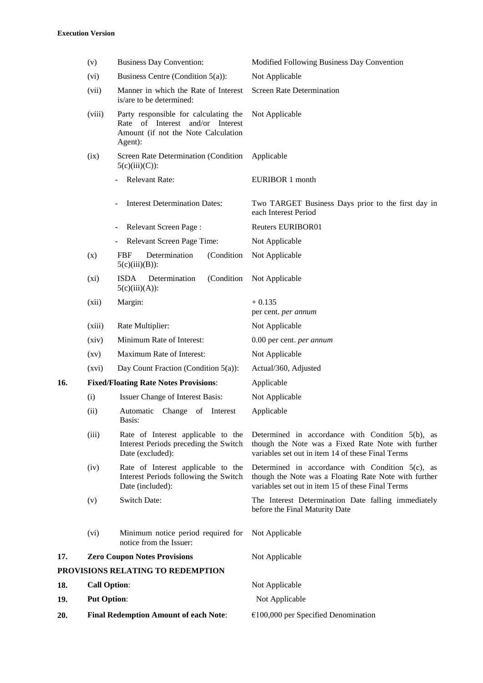|     | (v)                                          | <b>Business Day Convention:</b>                                                                                             | Modified Following Business Day Convention                                                                                                                        |
|-----|----------------------------------------------|-----------------------------------------------------------------------------------------------------------------------------|-------------------------------------------------------------------------------------------------------------------------------------------------------------------|
|     | (vi)                                         | Business Centre (Condition $5(a)$ ):                                                                                        | Not Applicable                                                                                                                                                    |
|     | (vii)                                        | Manner in which the Rate of Interest<br>is/are to be determined:                                                            | <b>Screen Rate Determination</b>                                                                                                                                  |
|     | (viii)                                       | Party responsible for calculating the<br>Rate of Interest and/or Interest<br>Amount (if not the Note Calculation<br>Agent): | Not Applicable                                                                                                                                                    |
|     | (ix)                                         | Screen Rate Determination (Condition<br>$5(c)(iii)(C))$ :                                                                   | Applicable                                                                                                                                                        |
|     |                                              | Relevant Rate:                                                                                                              | EURIBOR 1 month                                                                                                                                                   |
|     |                                              | <b>Interest Determination Dates:</b>                                                                                        | Two TARGET Business Days prior to the first day in<br>each Interest Period                                                                                        |
|     |                                              | Relevant Screen Page:<br>$\overline{\phantom{0}}$                                                                           | <b>Reuters EURIBOR01</b>                                                                                                                                          |
|     |                                              | Relevant Screen Page Time:<br>$\overline{\phantom{0}}$                                                                      | Not Applicable                                                                                                                                                    |
|     | (x)                                          | Determination<br><b>FBF</b><br>(Condition<br>$5(c)(iii)(B))$ :                                                              | Not Applicable                                                                                                                                                    |
|     | (xi)                                         | (Condition<br><b>ISDA</b><br>Determination<br>$5(c)(iii)(A))$ :                                                             | Not Applicable                                                                                                                                                    |
|     | (xii)                                        | Margin:                                                                                                                     | $+0.135$<br>per cent. per annum                                                                                                                                   |
|     | (xiii)                                       | Rate Multiplier:                                                                                                            | Not Applicable                                                                                                                                                    |
|     | (xiv)                                        | Minimum Rate of Interest:                                                                                                   | 0.00 per cent. per annum                                                                                                                                          |
|     | $\left( xy\right)$                           | Maximum Rate of Interest:                                                                                                   | Not Applicable                                                                                                                                                    |
|     | (xvi)                                        | Day Count Fraction (Condition $5(a)$ ):                                                                                     | Actual/360, Adjusted                                                                                                                                              |
| 16. |                                              | <b>Fixed/Floating Rate Notes Provisions:</b>                                                                                | Applicable                                                                                                                                                        |
|     | (i)                                          | <b>Issuer Change of Interest Basis:</b>                                                                                     | Not Applicable                                                                                                                                                    |
|     | (ii)                                         | Change<br>Automatic<br>of Interest<br>Basis:                                                                                | Applicable                                                                                                                                                        |
|     | (iii)                                        | Rate of Interest applicable to the<br>Interest Periods preceding the Switch<br>Date (excluded):                             | Determined in accordance with Condition 5(b), as<br>though the Note was a Fixed Rate Note with further<br>variables set out in item 14 of these Final Terms       |
|     | (iv)                                         | Rate of Interest applicable to the<br>Interest Periods following the Switch<br>Date (included):                             | Determined in accordance with Condition $5(c)$ , as<br>though the Note was a Floating Rate Note with further<br>variables set out in item 15 of these Final Terms |
|     | (v)                                          | <b>Switch Date:</b>                                                                                                         | The Interest Determination Date falling immediately<br>before the Final Maturity Date                                                                             |
|     | (vi)                                         | Minimum notice period required for<br>notice from the Issuer:                                                               | Not Applicable                                                                                                                                                    |
| 17. |                                              | <b>Zero Coupon Notes Provisions</b>                                                                                         | Not Applicable                                                                                                                                                    |
|     |                                              | PROVISIONS RELATING TO REDEMPTION                                                                                           |                                                                                                                                                                   |
| 18. | <b>Call Option:</b>                          |                                                                                                                             | Not Applicable                                                                                                                                                    |
| 19. | <b>Put Option:</b>                           |                                                                                                                             | Not Applicable                                                                                                                                                    |
| 20. | <b>Final Redemption Amount of each Note:</b> |                                                                                                                             | $€100,000$ per Specified Denomination                                                                                                                             |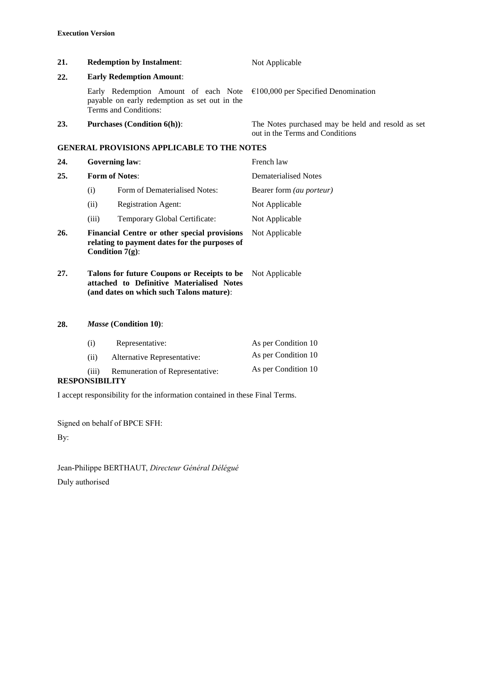| 21.                          |                                                                                                                                      | <b>Redemption by Instalment:</b>                                                                                    | Not Applicable                                                                       |
|------------------------------|--------------------------------------------------------------------------------------------------------------------------------------|---------------------------------------------------------------------------------------------------------------------|--------------------------------------------------------------------------------------|
| 22.                          | <b>Early Redemption Amount:</b>                                                                                                      |                                                                                                                     |                                                                                      |
|                              |                                                                                                                                      | Early Redemption Amount of each Note<br>payable on early redemption as set out in the<br>Terms and Conditions:      | $€100,000$ per Specified Denomination                                                |
| 23.                          |                                                                                                                                      | <b>Purchases (Condition 6(h)):</b>                                                                                  | The Notes purchased may be held and resold as set<br>out in the Terms and Conditions |
|                              |                                                                                                                                      | <b>GENERAL PROVISIONS APPLICABLE TO THE NOTES</b>                                                                   |                                                                                      |
| 24.                          | <b>Governing law:</b>                                                                                                                |                                                                                                                     | French law                                                                           |
| <b>Form of Notes:</b><br>25. |                                                                                                                                      |                                                                                                                     | <b>Dematerialised Notes</b>                                                          |
|                              | (i)                                                                                                                                  | Form of Dematerialised Notes:                                                                                       | Bearer form (au porteur)                                                             |
|                              | (ii)                                                                                                                                 | <b>Registration Agent:</b>                                                                                          | Not Applicable                                                                       |
|                              | (iii)                                                                                                                                | Temporary Global Certificate:                                                                                       | Not Applicable                                                                       |
| 26.                          |                                                                                                                                      | Financial Centre or other special provisions<br>relating to payment dates for the purposes of<br>Condition $7(g)$ : | Not Applicable                                                                       |
| 27.                          | Talons for future Coupons or Receipts to be<br>attached to Definitive Materialised Notes<br>(and dates on which such Talons mature): |                                                                                                                     | Not Applicable                                                                       |
| 28.                          | Masse (Condition 10):                                                                                                                |                                                                                                                     |                                                                                      |
|                              | (i)                                                                                                                                  | Representative:                                                                                                     | As per Condition 10                                                                  |
|                              | (ii)                                                                                                                                 | Alternative Representative:                                                                                         | As per Condition 10                                                                  |
|                              | (iii)                                                                                                                                | Remuneration of Representative:                                                                                     | As per Condition 10                                                                  |

## **RESPONSIBILITY**

I accept responsibility for the information contained in these Final Terms.

Signed on behalf of BPCE SFH:

By:

Jean-Philippe BERTHAUT, *Directeur Général Délégué* Duly authorised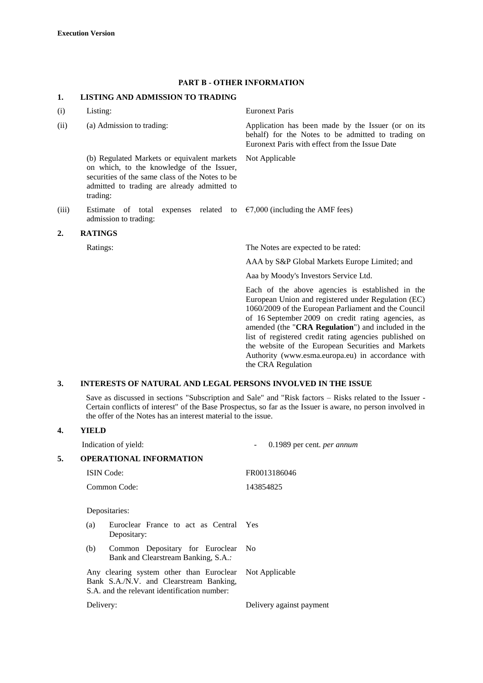#### **PART B - OTHER INFORMATION**

#### **1. LISTING AND ADMISSION TO TRADING**

| (i) | Listing: |
|-----|----------|
|-----|----------|

(b) Regulated Markets or equivalent markets on which, to the knowledge of the Issuer, securities of the same class of the Notes to be admitted to trading are already admitted to trading:

(iii) Estimate of total expenses related to admission to trading:

#### **2. RATINGS**

**Euronext Paris** 

(ii) (a) Admission to trading: Application has been made by the Issuer (or on its behalf) for the Notes to be admitted to trading on Euronext Paris with effect from the Issue Date

Not Applicable

 $€7,000$  (including the AMF fees)

Ratings: The Notes are expected to be rated:

AAA by S&P Global Markets Europe Limited; and

Aaa by Moody's Investors Service Ltd.

Each of the above agencies is established in the European Union and registered under Regulation (EC) 1060/2009 of the European Parliament and the Council of 16 September 2009 on credit rating agencies, as amended (the "**CRA Regulation**") and included in the list of registered credit rating agencies published on the website of the European Securities and Markets Authority (www.esma.europa.eu) in accordance with the CRA Regulation

#### **3. INTERESTS OF NATURAL AND LEGAL PERSONS INVOLVED IN THE ISSUE**

Save as discussed in sections "Subscription and Sale" and "Risk factors – Risks related to the Issuer - Certain conflicts of interest" of the Base Prospectus, so far as the Issuer is aware, no person involved in the offer of the Notes has an interest material to the issue.

#### **4. YIELD**

|              |           | Indication of yield:                                                                                                                | 0.1989 per cent. <i>per annum</i> |  |  |
|--------------|-----------|-------------------------------------------------------------------------------------------------------------------------------------|-----------------------------------|--|--|
| 5.           |           | <b>OPERATIONAL INFORMATION</b>                                                                                                      |                                   |  |  |
|              |           | <b>ISIN</b> Code:                                                                                                                   | FR0013186046                      |  |  |
| Common Code: |           |                                                                                                                                     | 143854825                         |  |  |
|              |           | Depositaries:                                                                                                                       |                                   |  |  |
|              | (a)       | Euroclear France to act as Central Yes<br>Depositary:                                                                               |                                   |  |  |
|              | (b)       | Common Depositary for Euroclear<br>Bank and Clearstream Banking, S.A.:                                                              | - No                              |  |  |
|              |           | Any clearing system other than Euroclear<br>Bank S.A./N.V. and Clearstream Banking,<br>S.A. and the relevant identification number: | Not Applicable                    |  |  |
|              | Delivery: |                                                                                                                                     | Delivery against payment          |  |  |
|              |           |                                                                                                                                     |                                   |  |  |